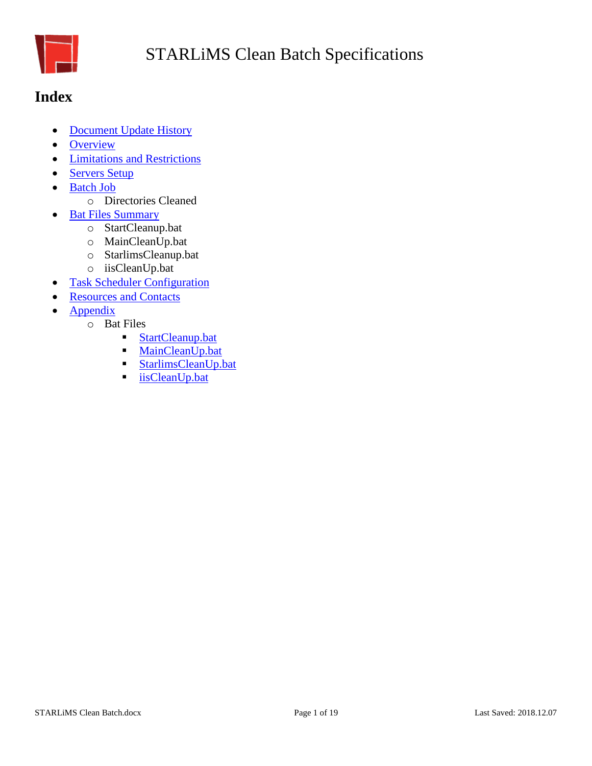

## <span id="page-0-0"></span>**Index**

- [Document Update History](#page-1-0)
- [Overview](#page-2-0)
- [Limitations and Restrictions](#page-2-1)
- [Servers Setup](#page-3-0)
- [Batch Job](#page-2-2)
	- o Directories Cleaned
- [Bat Files Summary](#page-5-0)
	- o StartCleanup.bat
	- o MainCleanUp.bat
	- o StarlimsCleanup.bat
	- o iisCleanUp.bat
- [Task Scheduler Configuration](#page-6-0)
- [Resources and Contacts](#page-8-0)
- **[Appendix](#page-9-0)** 
	- o Bat Files
		- [StartCleanup.bat](#page-10-0)
		- **[MainCleanUp.bat](#page-9-1)**
		- [StarlimsCleanUp.bat](#page-14-0)
		- [iisCleanUp.bat](#page-17-0)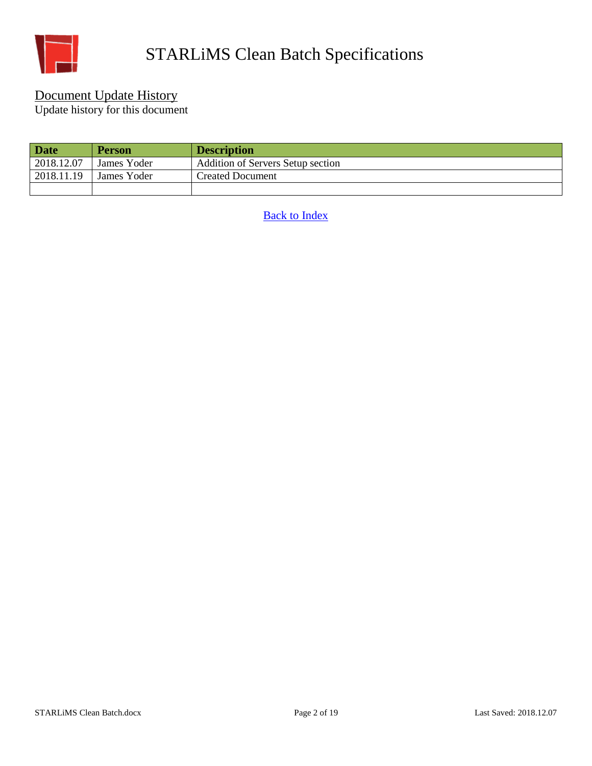

#### <span id="page-1-0"></span>Document Update History

Update history for this document

| <b>Date</b> | <b>Person</b>      | <b>Description</b>                       |
|-------------|--------------------|------------------------------------------|
| 2018.12.07  | James Yoder        | <b>Addition of Servers Setup section</b> |
| 2018.11.19  | <b>James Yoder</b> | <b>Created Document</b>                  |
|             |                    |                                          |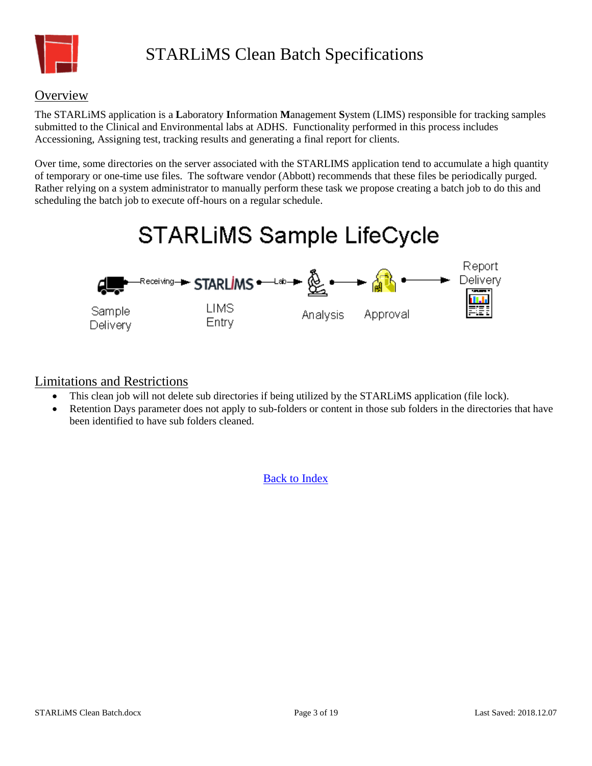

#### <span id="page-2-0"></span>**Overview**

The STARLiMS application is a **L**aboratory **I**nformation **M**anagement **S**ystem (LIMS) responsible for tracking samples submitted to the Clinical and Environmental labs at ADHS. Functionality performed in this process includes Accessioning, Assigning test, tracking results and generating a final report for clients.

Over time, some directories on the server associated with the STARLIMS application tend to accumulate a high quantity of temporary or one-time use files. The software vendor (Abbott) recommends that these files be periodically purged. Rather relying on a system administrator to manually perform these task we propose creating a batch job to do this and scheduling the batch job to execute off-hours on a regular schedule.

# **STARLIMS Sample LifeCycle**



#### <span id="page-2-1"></span>Limitations and Restrictions

- This clean job will not delete sub directories if being utilized by the STARLiMS application (file lock).
- <span id="page-2-2"></span> Retention Days parameter does not apply to sub-folders or content in those sub folders in the directories that have been identified to have sub folders cleaned.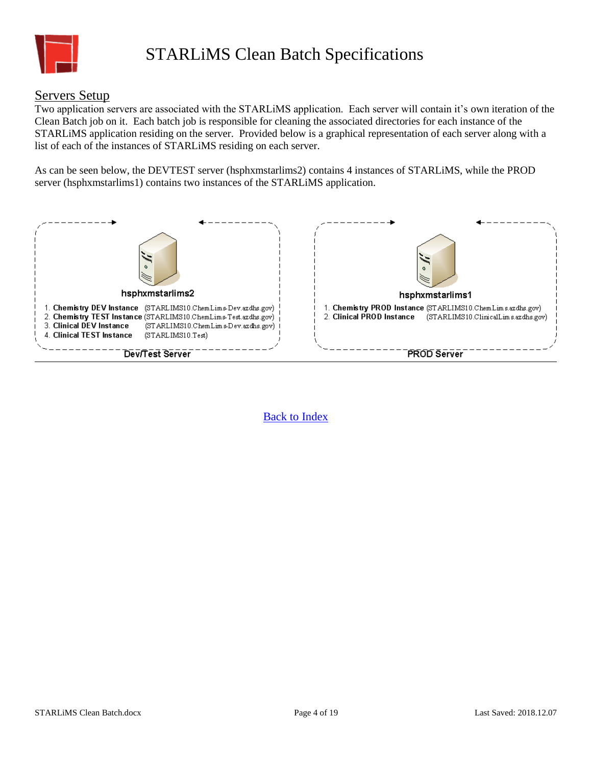

#### <span id="page-3-0"></span>Servers Setup

Two application servers are associated with the STARLiMS application. Each server will contain it's own iteration of the Clean Batch job on it. Each batch job is responsible for cleaning the associated directories for each instance of the STARLiMS application residing on the server. Provided below is a graphical representation of each server along with a list of each of the instances of STARLiMS residing on each server.

As can be seen below, the DEVTEST server (hsphxmstarlims2) contains 4 instances of STARLiMS, while the PROD server (hsphxmstarlims1) contains two instances of the STARLiMS application.

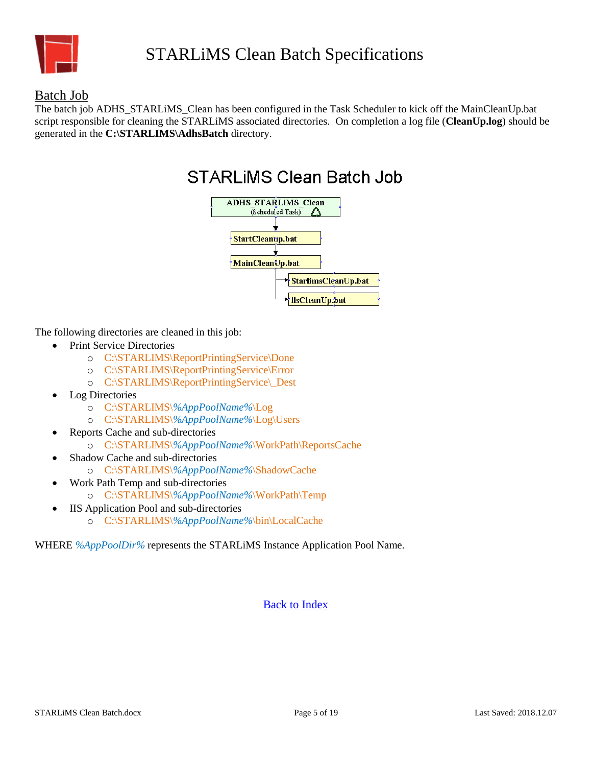

#### Batch Job

The batch job ADHS\_STARLIMS\_Clean has been configured in the Task Scheduler to kick off the MainCleanUp.bat script responsible for cleaning the STARLiMS associated directories. On completion a log file (**CleanUp.log**) should be generated in the **C:\STARLIMS\AdhsBatch** directory.



The following directories are cleaned in this job:

- Print Service Directories
	- o C:\STARLIMS\ReportPrintingService\Done
	- o C:\STARLIMS\ReportPrintingService\Error
	- o C:\STARLIMS\ReportPrintingService\\_Dest
- Log Directories
	- o C:\STARLIMS\*%AppPoolName%*\Log
	- o C:\STARLIMS\*%AppPoolName%*\Log\Users
- Reports Cache and sub-directories
	- o C:\STARLIMS\*%AppPoolName%*\WorkPath\ReportsCache
- Shadow Cache and sub-directories
	- o C:\STARLIMS\*%AppPoolName%*\ShadowCache
- Work Path Temp and sub-directories
	- o C:\STARLIMS\*%AppPoolName%*\WorkPath\Temp
- IIS Application Pool and sub-directories o C:\STARLIMS\*%AppPoolName%*\bin\LocalCache

WHERE *%AppPoolDir%* represents the STARLiMS Instance Application Pool Name.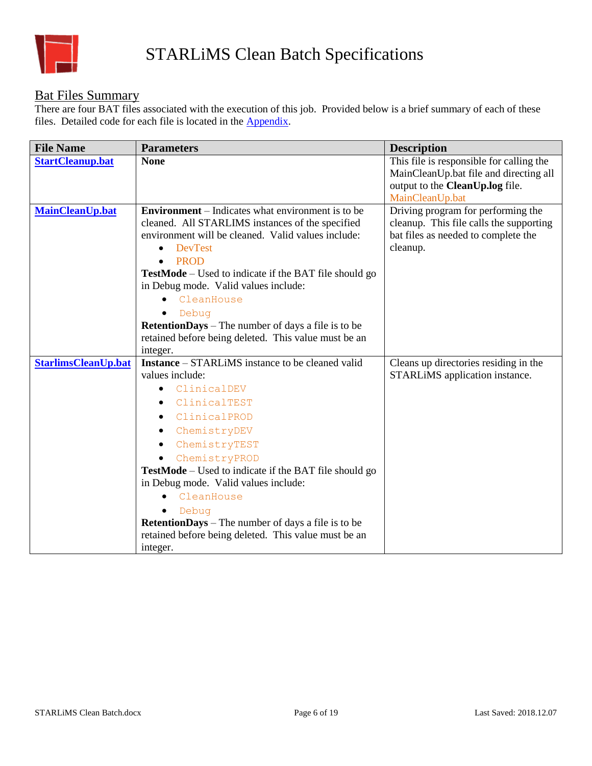

### <span id="page-5-0"></span>Bat Files Summary

There are four BAT files associated with the execution of this job. Provided below is a brief summary of each of these files. Detailed code for each file is located in the [Appendix.](#page-9-0)

| <b>File Name</b>           | <b>Parameters</b>                                                         | <b>Description</b>                       |
|----------------------------|---------------------------------------------------------------------------|------------------------------------------|
| <b>StartCleanup.bat</b>    | <b>None</b>                                                               | This file is responsible for calling the |
|                            |                                                                           | MainCleanUp.bat file and directing all   |
|                            |                                                                           | output to the CleanUp.log file.          |
|                            |                                                                           | MainCleanUp.bat                          |
| <b>MainCleanUp.bat</b>     | <b>Environment</b> – Indicates what environment is to be                  | Driving program for performing the       |
|                            | cleaned. All STARLIMS instances of the specified                          | cleanup. This file calls the supporting  |
|                            | environment will be cleaned. Valid values include:                        | bat files as needed to complete the      |
|                            | <b>DevTest</b><br>$\bullet$<br><b>PROD</b>                                | cleanup.                                 |
|                            | $\bullet$<br><b>TestMode</b> – Used to indicate if the BAT file should go |                                          |
|                            | in Debug mode. Valid values include:                                      |                                          |
|                            | CleanHouse                                                                |                                          |
|                            | Debug                                                                     |                                          |
|                            | RetentionDays - The number of days a file is to be                        |                                          |
|                            | retained before being deleted. This value must be an                      |                                          |
|                            | integer.                                                                  |                                          |
| <b>StarlimsCleanUp.bat</b> | <b>Instance</b> – STARLIMS instance to be cleaned valid                   | Cleans up directories residing in the    |
|                            | values include:                                                           | STARLIMS application instance.           |
|                            | ClinicalDEV<br>٠                                                          |                                          |
|                            | ClinicalTEST                                                              |                                          |
|                            | ClinicalPROD<br>$\bullet$                                                 |                                          |
|                            | ChemistryDEV<br>٠                                                         |                                          |
|                            | ChemistryTEST                                                             |                                          |
|                            | ChemistryPROD<br>$\bullet$                                                |                                          |
|                            | <b>TestMode</b> – Used to indicate if the BAT file should go              |                                          |
|                            | in Debug mode. Valid values include:                                      |                                          |
|                            | CleanHouse                                                                |                                          |
|                            | Debug                                                                     |                                          |
|                            | <b>RetentionDays</b> – The number of days a file is to be                 |                                          |
|                            | retained before being deleted. This value must be an                      |                                          |
|                            | integer.                                                                  |                                          |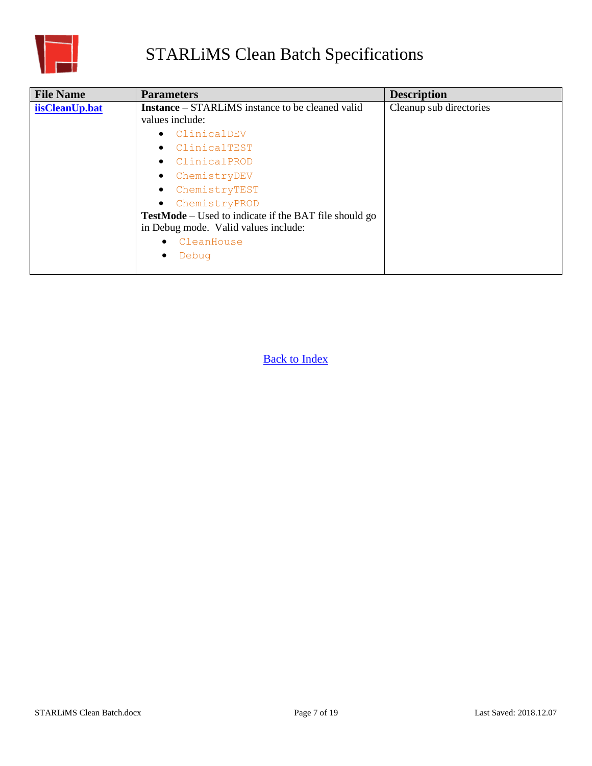

<span id="page-6-0"></span>

| <b>File Name</b> | <b>Parameters</b>                                            | <b>Description</b>      |
|------------------|--------------------------------------------------------------|-------------------------|
| iisCleanUp.bat   | <b>Instance</b> – STARLIMS instance to be cleaned valid      | Cleanup sub directories |
|                  | values include:                                              |                         |
|                  | ClinicalDEV<br>$\bullet$                                     |                         |
|                  | ClinicalTEST<br>$\bullet$                                    |                         |
|                  | ClinicalPROD<br>$\bullet$                                    |                         |
|                  | ChemistryDEV<br>$\bullet$                                    |                         |
|                  | ChemistryTEST<br>$\bullet$                                   |                         |
|                  | ChemistryPROD<br>$\bullet$                                   |                         |
|                  | <b>TestMode</b> – Used to indicate if the BAT file should go |                         |
|                  | in Debug mode. Valid values include:                         |                         |
|                  | CleanHouse                                                   |                         |
|                  | Debug                                                        |                         |
|                  |                                                              |                         |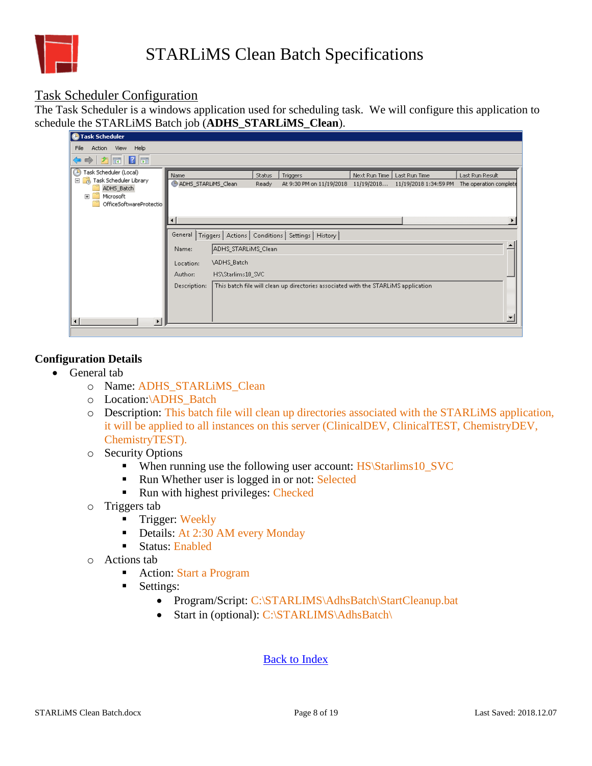

#### Task Scheduler Configuration

The Task Scheduler is a windows application used for scheduling task. We will configure this application to schedule the STARLiMS Batch job (**ADHS\_STARLiMS\_Clean**).

| <b>C</b> Task Scheduler                                         |                                                                 |                   |               |                                                                                    |               |                       |                        |
|-----------------------------------------------------------------|-----------------------------------------------------------------|-------------------|---------------|------------------------------------------------------------------------------------|---------------|-----------------------|------------------------|
| Action View<br>Help<br>File                                     |                                                                 |                   |               |                                                                                    |               |                       |                        |
| $ \mathbf{r} $ $\mathbf{r} $ $\mathbf{r} $ $\mathbf{r} $<br>⇔ ⇒ |                                                                 |                   |               |                                                                                    |               |                       |                        |
| Task Scheduler (Local)<br>⊕                                     | Name                                                            |                   | <b>Status</b> | Triggers                                                                           | Next Run Time | Last Run Time         | Last Run Result        |
| □ a, Task Scheduler Library<br>ADHS_Batch                       | ADHS_STARLIMS_Clean                                             |                   | Ready         | At 9:30 PM on 11/19/2018                                                           | 11/19/2018    | 11/19/2018 1:34:59 PM | The operation complete |
| Microsoft<br>Ŧ                                                  |                                                                 |                   |               |                                                                                    |               |                       |                        |
| OfficeSoftwareProtectio                                         |                                                                 |                   |               |                                                                                    |               |                       |                        |
|                                                                 |                                                                 |                   |               |                                                                                    |               |                       |                        |
|                                                                 |                                                                 |                   |               |                                                                                    |               |                       |                        |
|                                                                 | General<br>Triggers   Actions   Conditions   Settings   History |                   |               |                                                                                    |               |                       |                        |
|                                                                 | ADHS_STARLIMS_Clean<br>Name:                                    |                   |               |                                                                                    |               |                       |                        |
|                                                                 | Location:                                                       | \ADHS_Batch       |               |                                                                                    |               |                       |                        |
|                                                                 | Author:                                                         | HS\Starlims10_SVC |               |                                                                                    |               |                       |                        |
|                                                                 | Description:                                                    |                   |               | This batch file will clean up directories associated with the STARLIMS application |               |                       |                        |
|                                                                 |                                                                 |                   |               |                                                                                    |               |                       |                        |
|                                                                 |                                                                 |                   |               |                                                                                    |               |                       |                        |
|                                                                 |                                                                 |                   |               |                                                                                    |               |                       |                        |
| $\blacksquare$<br>$\blacktriangleright$                         |                                                                 |                   |               |                                                                                    |               |                       |                        |

#### **Configuration Details**

- General tab
	- o Name: ADHS\_STARLiMS\_Clean
	- o Location:\ADHS\_Batch
	- o Description: This batch file will clean up directories associated with the STARLiMS application, it will be applied to all instances on this server (ClinicalDEV, ClinicalTEST, ChemistryDEV, ChemistryTEST).
	- o Security Options
		- When running use the following user account: HS\Starlims10\_SVC
		- Run Whether user is logged in or not: Selected
		- Run with highest privileges: Checked
	- o Triggers tab
		- **Trigger: Weekly**
		- Details: At 2:30 AM every Monday
		- Status: Enabled
	- o Actions tab
		- Action: Start a Program
		- Settings:
			- Program/Script: C:\STARLIMS\AdhsBatch\StartCleanup.bat
			- Start in (optional): C:\STARLIMS\AdhsBatch\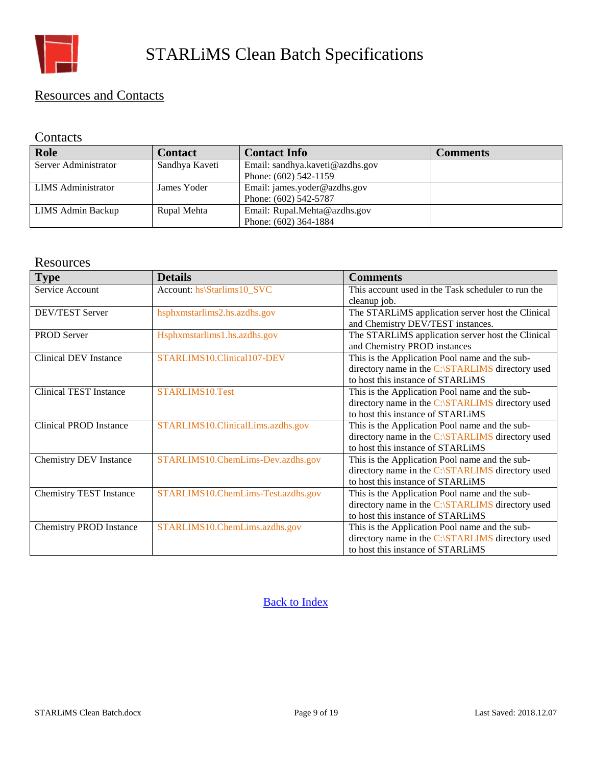

#### <span id="page-8-0"></span>Resources and Contacts

#### **Contacts**

| <b>Role</b>               | <b>Contact</b> | <b>Contact Info</b>             | <b>Comments</b> |
|---------------------------|----------------|---------------------------------|-----------------|
| Server Administrator      | Sandhya Kaveti | Email: sandhya.kaveti@azdhs.gov |                 |
|                           |                | Phone: (602) 542-1159           |                 |
| <b>LIMS</b> Administrator | James Yoder    | Email: james.yoder@azdhs.gov    |                 |
|                           |                | Phone: (602) 542-5787           |                 |
| LIMS Admin Backup         | Rupal Mehta    | Email: Rupal.Mehta@azdhs.gov    |                 |
|                           |                | Phone: (602) 364-1884           |                 |

#### **Resources**

| <b>Type</b>                    | <b>Details</b>                     | <b>Comments</b>                                    |
|--------------------------------|------------------------------------|----------------------------------------------------|
| Service Account                | Account: hs\Starlims10_SVC         | This account used in the Task scheduler to run the |
|                                |                                    | cleanup job.                                       |
| <b>DEV/TEST Server</b>         | hsphxmstarlims2.hs.azdhs.gov       | The STARLIMS application server host the Clinical  |
|                                |                                    | and Chemistry DEV/TEST instances.                  |
| PROD Server                    | Hsphxmstarlims1.hs.azdhs.gov       | The STARLIMS application server host the Clinical  |
|                                |                                    | and Chemistry PROD instances                       |
| <b>Clinical DEV Instance</b>   | STARLIMS10.Clinical107-DEV         | This is the Application Pool name and the sub-     |
|                                |                                    | directory name in the C:\STARLIMS directory used   |
|                                |                                    | to host this instance of STARLIMS                  |
| <b>Clinical TEST Instance</b>  | STARLIMS10.Test                    | This is the Application Pool name and the sub-     |
|                                |                                    | directory name in the C:\STARLIMS directory used   |
|                                |                                    | to host this instance of STARLIMS                  |
| <b>Clinical PROD Instance</b>  | STARLIMS10.ClinicalLims.azdhs.gov  | This is the Application Pool name and the sub-     |
|                                |                                    | directory name in the C:\STARLIMS directory used   |
|                                |                                    | to host this instance of STARLIMS                  |
| <b>Chemistry DEV Instance</b>  | STARLIMS10.ChemLims-Dev.azdhs.gov  | This is the Application Pool name and the sub-     |
|                                |                                    | directory name in the C:\STARLIMS directory used   |
|                                |                                    | to host this instance of STARLIMS                  |
| <b>Chemistry TEST Instance</b> | STARLIMS10.ChemLims-Test.azdhs.gov | This is the Application Pool name and the sub-     |
|                                |                                    | directory name in the C:\STARLIMS directory used   |
|                                |                                    | to host this instance of STARLIMS                  |
| <b>Chemistry PROD Instance</b> | STARLIMS10.ChemLims.azdhs.gov      | This is the Application Pool name and the sub-     |
|                                |                                    | directory name in the C:\STARLIMS directory used   |
|                                |                                    | to host this instance of STARLIMS                  |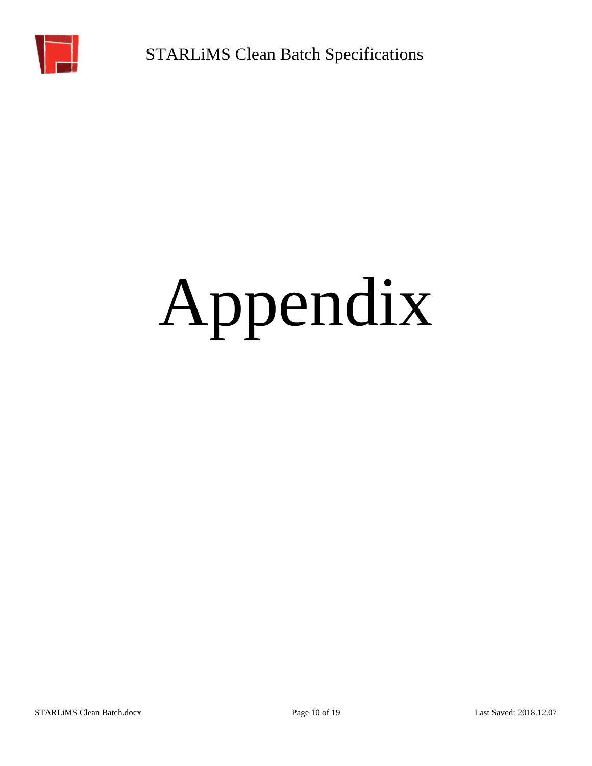<span id="page-9-1"></span>

# <span id="page-9-0"></span>Appendix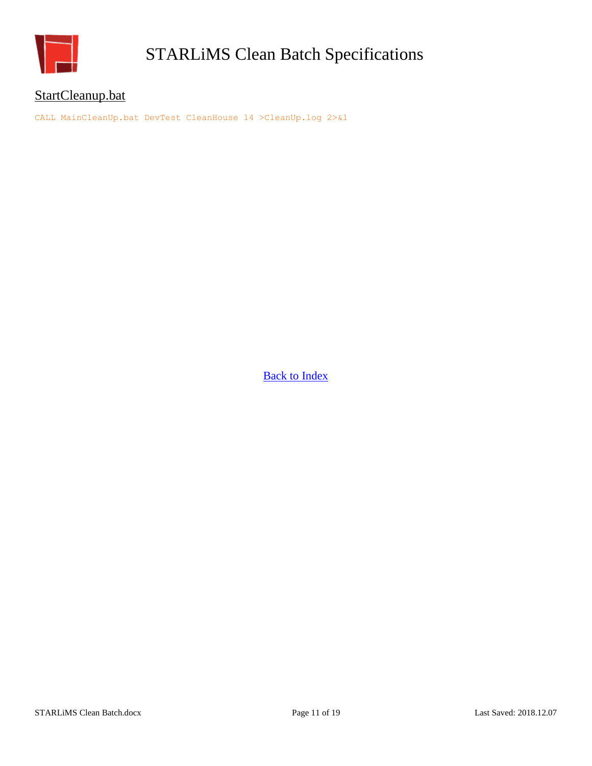

#### <span id="page-10-0"></span>StartCleanup.bat

CALL MainCleanUp.bat DevTest CleanHouse 14 >CleanUp.log 2>&1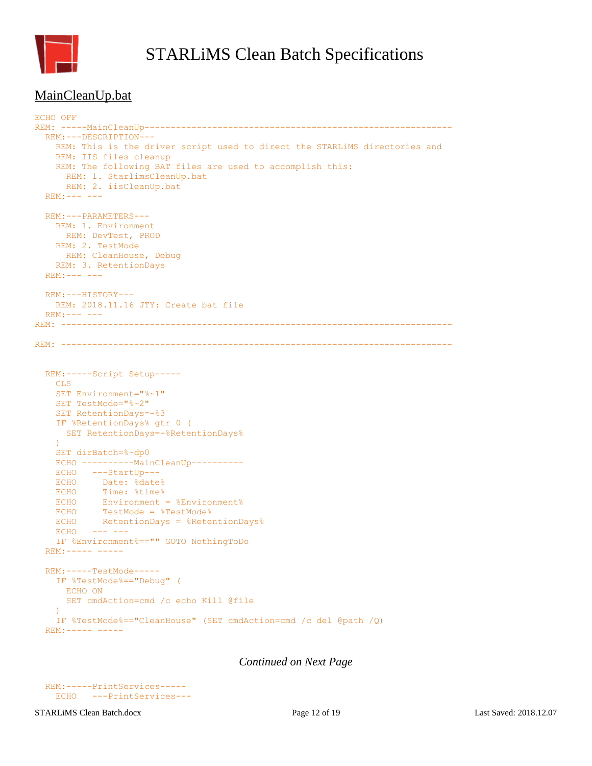

#### MainCleanUp.bat

```
ECHO OFF
REM: -----MainCleanUp-----------------------------------------------------------
   REM:---DESCRIPTION---
   REM: This is the driver script used to direct the STARLiMS directories and
    REM: IIS files cleanup
    REM: The following BAT files are used to accomplish this:
      REM: 1. StarlimsCleanUp.bat
      REM: 2. iisCleanUp.bat
  REM:--- - - - REM:---PARAMETERS---
    REM: 1. Environment
      REM: DevTest, PROD
    REM: 2. TestMode
      REM: CleanHouse, Debug
    REM: 3. RetentionDays
   REM:--- ---
  REM:---HISTORY---
    REM: 2018.11.16 JTY: Create bat file
 REM:--- ----REM: ---------------------------------------------------------------------------
REM: ---------------------------------------------------------------------------
  REM:-----Script Setup-----
    CLS
     SET Environment="%~1"
     SET TestMode="%~2"
     SET RetentionDays=-%3
     IF %RetentionDays% gtr 0 (
     SET RetentionDays=-%RetentionDays%
     )
     SET dirBatch=%~dp0
     ECHO ----------MainCleanUp----------
     ECHO ---StartUp---
    ECHO Date: %date%
   ECHO Time: %time%
   ECHO Environment = %Environment%
   ECHO TestMode = %TestMode%<br>ECHO RetentionDays = %Reter
           RetentionDays = %RetentionDays%
    ECHO --- --- IF %Environment%=="" GOTO NothingToDo
   REM:----- -----
   REM:-----TestMode-----
     IF %TestMode%=="Debug" (
      ECHO ON
       SET cmdAction=cmd /c echo Kill @file
    \lambda IF %TestMode%=="CleanHouse" (SET cmdAction=cmd /c del @path /Q)
   REM:----- -----
```

```
 REM:-----PrintServices-----
  ECHO ---PrintServices---
```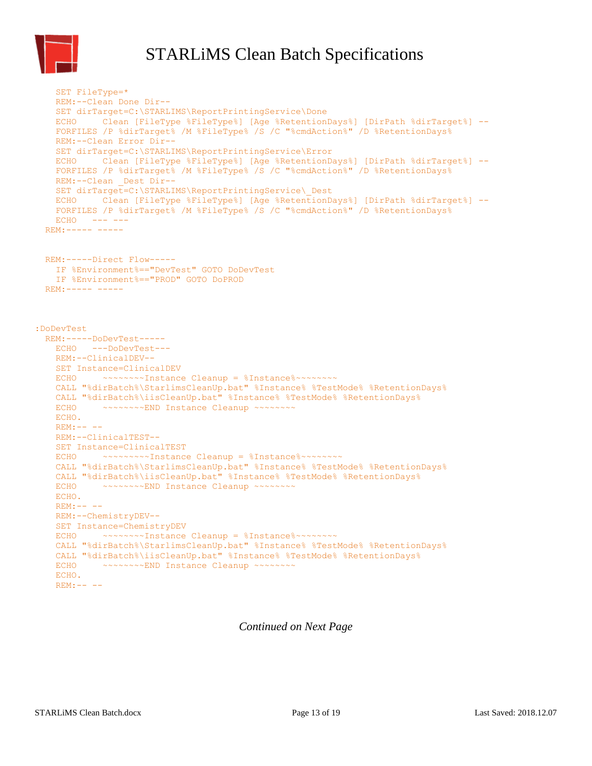

```
 SET FileType=*
    REM:--Clean Done Dir--
    SET dirTarget=C:\STARLIMS\ReportPrintingService\Done
    ECHO Clean [FileType %FileType%] [Age %RetentionDays%] [DirPath %dirTarget%] --
    FORFILES /P %dirTarget% /M %FileType% /S /C "%cmdAction%" /D %RetentionDays%
    REM:--Clean Error Dir--
    SET dirTarget=C:\STARLIMS\ReportPrintingService\Error
    ECHO Clean [FileType %FileType%] [Age %RetentionDays%] [DirPath %dirTarget%] --
    FORFILES /P %dirTarget% /M %FileType% /S /C "%cmdAction%" /D %RetentionDays%
   REM:--Clean Dest Dir--
    SET dirTarget=C:\STARLIMS\ReportPrintingService\_Dest
    ECHO Clean [FileType %FileType%] [Age %RetentionDays%] [DirPath %dirTarget%] --
    FORFILES /P %dirTarget% /M %FileType% /S /C "%cmdAction%" /D %RetentionDays%
   ECHO --- ---
  REM:----- -----
  REM:-----Direct Flow-----
    IF %Environment%=="DevTest" GOTO DoDevTest
    IF %Environment%=="PROD" GOTO DoPROD
 REM:----------:DoDevTest
  REM:-----DoDevTest-----
    ECHO ---DoDevTest---
    REM:--ClinicalDEV--
    SET Instance=ClinicalDEV
   ECHO ~~~~~~~~Instance Cleanup = %Instance%~~~~~~~~
    CALL "%dirBatch%\StarlimsCleanUp.bat" %Instance% %TestMode% %RetentionDays%
    CALL "%dirBatch%\iisCleanUp.bat" %Instance% %TestMode% %RetentionDays%
   ECHO ~~~~~~~~END Instance Cleanup ~~~~~~~~
    ECHO.
   REM:--- REM:--ClinicalTEST--
    SET Instance=ClinicalTEST
   ECHO ~~~~~~~~~Instance Cleanup = %Instance%~~~~~~~~
    CALL "%dirBatch%\StarlimsCleanUp.bat" %Instance% %TestMode% %RetentionDays%
    CALL "%dirBatch%\iisCleanUp.bat" %Instance% %TestMode% %RetentionDays%
   ECHO ~~~~~~~~END Instance Cleanup ~~~~~~~~
    ECHO.
    REM:-- --
    REM:--ChemistryDEV--
    SET Instance=ChemistryDEV
   ECHO ~~~~~~~~Instance Cleanup = %Instance%~~~~~~~~
    CALL "%dirBatch%\StarlimsCleanUp.bat" %Instance% %TestMode% %RetentionDays%
    CALL "%dirBatch%\iisCleanUp.bat" %Instance% %TestMode% %RetentionDays%
   ECHO ~~~~~~~~END Instance Cleanup ~~~~~~~~
    ECHO.
   REM:---
```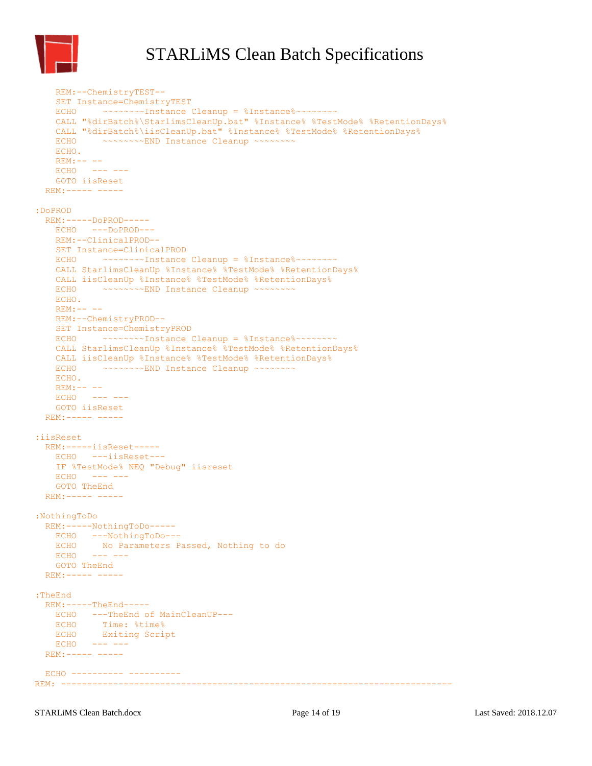

```
 REM:--ChemistryTEST--
     SET Instance=ChemistryTEST
    ECHO ~~~~~~~~Instance Cleanup = %Instance%~~~~~~~~
     CALL "%dirBatch%\StarlimsCleanUp.bat" %Instance% %TestMode% %RetentionDays%
    CALL "%dirBatch%\iisCleanUp.bat" %Instance% %TestMode% %RetentionDays%
           -<br>- ~~~~~~~~~END Instance Cleanup ~~~~~~~~
    ECHO.
    REM:-- --
   ECHO --- ---
    GOTO iisReset
  REM:----- -----
:DoPROD
   REM:-----DoPROD-----
    ECHO ---DoPROD---
    REM:--ClinicalPROD--
    SET Instance=ClinicalPROD
   ECHO ~~~~~~~~Instance Cleanup = %Instance%~~~~~~~~
    CALL StarlimsCleanUp %Instance% %TestMode% %RetentionDays%
    CALL iisCleanUp %Instance% %TestMode% %RetentionDays%
   ECHO ~~~~~~~~END Instance Cleanup ~~~~~~~~
    ECHO.
    REM:-- --
    REM:--ChemistryPROD--
    SET Instance=ChemistryPROD
   ECHO ~~~~~~~~Instance Cleanup = %Instance%~~~~~~~~
    CALL StarlimsCleanUp %Instance% %TestMode% %RetentionDays%
    CALL iisCleanUp %Instance% %TestMode% %RetentionDays%
   ECHO ~~~~~~~~END Instance Cleanup ~~~~~~~~
    ECHO.
    REM:---ECHO --- ---
    GOTO iisReset
  REM:----- -----
:iisReset
  REM:-----iisReset-----
    ECHO ---iisReset---
    IF %TestMode% NEQ "Debug" iisreset
    ECHO --- ---
    GOTO TheEnd
  REM:----- -----
:NothingToDo
   REM:-----NothingToDo-----
    ECHO ---NothingToDo---
    ECHO No Parameters Passed, Nothing to do
   ECHO --- ---
    GOTO TheEnd
  REM:----- -----
:TheEnd 
  REM:-----TheEnd-----
    ECHO ---TheEnd of MainCleanUP---
   ECHO Time: %time%
    ECHO Exiting Script
   ECHO --- ---
  REM:----- -----
  ECHO ---------- ----------
REM: ---------------------------------------------------------------------------
```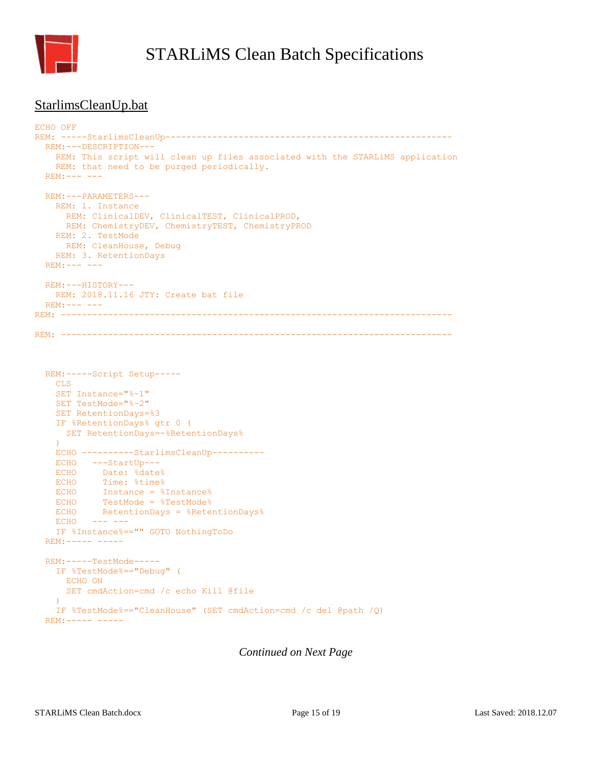

#### <span id="page-14-0"></span>StarlimsCleanUp.bat

```
ECHO OFF
REM: -----StarlimsCleanUp-------------------------------------------------------
   REM:---DESCRIPTION---
    REM: This script will clean up files associated with the STARLiMS application
   REM: that need to be purged periodically.
  REM:--- ---
  REM:---PARAMETERS---
    REM: 1. Instance
      REM: ClinicalDEV, ClinicalTEST, ClinicalPROD,
      REM: ChemistryDEV, ChemistryTEST, ChemistryPROD
    REM: 2. TestMode
      REM: CleanHouse, Debug
    REM: 3. RetentionDays
  REM:--- ---
  REM:---HISTORY---
    REM: 2018.11.16 JTY: Create bat file
  REM:--- ---
REM: ---------------------------------------------------------------------------
REM: ---------------------------------------------------------------------------
  REM:-----Script Setup-----
    CLS
     SET Instance="%~1"
     SET TestMode="%~2"
     SET RetentionDays=%3
     IF %RetentionDays% gtr 0 (
      SET RetentionDays=-%RetentionDays%
    \DeltaECHO ----------StarlimsCleanUp----------
     ECHO ---StartUp---
    ECHO Date: %date%
   ECHO Time: %time%
   ECHO Instance = %Instance%
    ECHO TestMode = %TestMode%
    ECHO RetentionDays = %RetentionDays%
   ECHO --- ---
     IF %Instance%=="" GOTO NothingToDo
  REM:--- - - - REM:-----TestMode-----
     IF %TestMode%=="Debug" (
      ECHO ON
       SET cmdAction=cmd /c echo Kill @file
\overline{\phantom{a}} IF %TestMode%=="CleanHouse" (SET cmdAction=cmd /c del @path /Q)
   REM:----- -----
```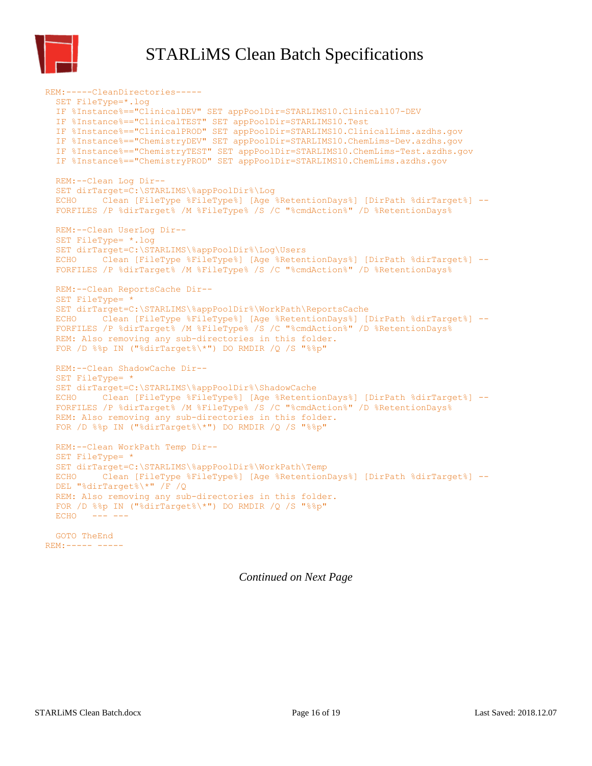

 REM:-----CleanDirectories----- SET FileType=\*.log IF %Instance%=="ClinicalDEV" SET appPoolDir=STARLIMS10.Clinical107-DEV IF %Instance%=="ClinicalTEST" SET appPoolDir=STARLIMS10.Test IF %Instance%=="ClinicalPROD" SET appPoolDir=STARLIMS10.ClinicalLims.azdhs.gov IF %Instance%=="ChemistryDEV" SET appPoolDir=STARLIMS10.ChemLims-Dev.azdhs.gov IF %Instance%=="ChemistryTEST" SET appPoolDir=STARLIMS10.ChemLims-Test.azdhs.gov IF %Instance%=="ChemistryPROD" SET appPoolDir=STARLIMS10.ChemLims.azdhs.gov REM:--Clean Log Dir-- SET dirTarget=C:\STARLIMS\%appPoolDir%\Log ECHO Clean [FileType %FileType%] [Age %RetentionDays%] [DirPath %dirTarget%] -- FORFILES /P %dirTarget% /M %FileType% /S /C "%cmdAction%" /D %RetentionDays% REM:--Clean UserLog Dir-- SET FileType= \*.log SET dirTarget=C:\STARLIMS\%appPoolDir%\Log\Users ECHO Clean [FileType %FileType%] [Age %RetentionDays%] [DirPath %dirTarget%] -- FORFILES /P %dirTarget% /M %FileType% /S /C "%cmdAction%" /D %RetentionDays% REM:--Clean ReportsCache Dir-- SET FileType= \* SET dirTarget=C:\STARLIMS\%appPoolDir%\WorkPath\ReportsCache ECHO Clean [FileType %FileType%] [Age %RetentionDays%] [DirPath %dirTarget%] -- FORFILES /P %dirTarget% /M %FileType% /S /C "%cmdAction%" /D %RetentionDays% REM: Also removing any sub-directories in this folder. FOR /D %%p IN ("%dirTarget%\\*") DO RMDIR /Q /S "%%p" REM:--Clean ShadowCache Dir-- SET FileType= \* SET dirTarget=C:\STARLIMS\%appPoolDir%\ShadowCache ECHO Clean [FileType %FileType%] [Age %RetentionDays%] [DirPath %dirTarget%] -- FORFILES /P %dirTarget% /M %FileType% /S /C "%cmdAction%" /D %RetentionDays% REM: Also removing any sub-directories in this folder. FOR /D %%p IN ("%dirTarget%\\*") DO RMDIR /Q /S "%%p" REM:--Clean WorkPath Temp Dir-- SET FileType= \* SET dirTarget=C:\STARLIMS\%appPoolDir%\WorkPath\Temp ECHO Clean [FileType %FileType%] [Age %RetentionDays%] [DirPath %dirTarget%] -- DEL "%dirTarget%\\*" /F /Q REM: Also removing any sub-directories in this folder. FOR /D %%p IN ("%dirTarget%\\*") DO RMDIR /Q /S "%%p"  $ECHO$   $---$  GOTO TheEnd REM:----- -----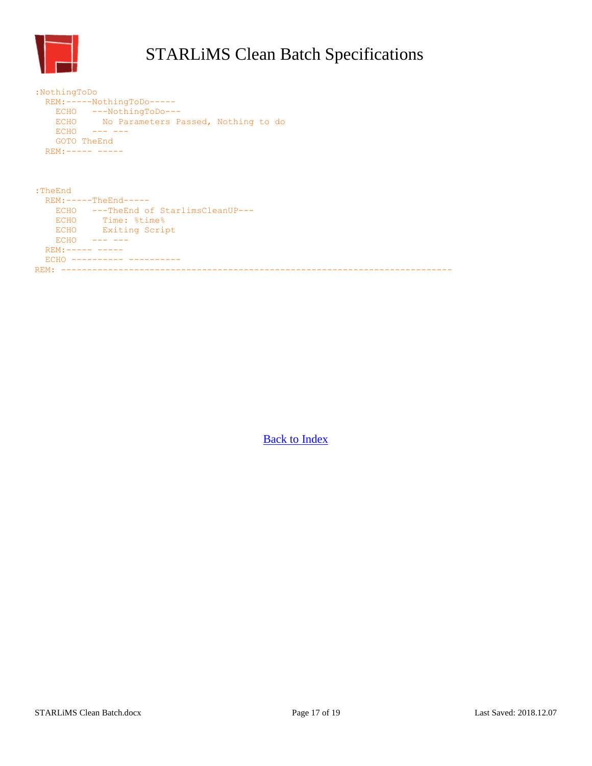

| :NothingToDo<br>ECHO<br><b>ECHO</b><br>GOTO TheEnd | REM:-----NothingToDo-----<br>ECHO ---NothingToDo---<br>No Parameters Passed, Nothing to do<br>------- |
|----------------------------------------------------|-------------------------------------------------------------------------------------------------------|
| $REM: --- --- --- --- ---$                         |                                                                                                       |
| : <b>The End</b>                                   |                                                                                                       |
|                                                    | $REM:---The End---$                                                                                   |
|                                                    | ECHO ---TheEnd of StarlimsCleanUP---                                                                  |
| <b>ECHO</b>                                        | Time: %time%                                                                                          |
| <b>ECHO</b>                                        | Exiting Script                                                                                        |
| <b>ECHO</b>                                        |                                                                                                       |
| $REM: --- --- --- ---$                             |                                                                                                       |
| <b>ECHO</b>                                        | -----------------                                                                                     |

REM: ---------------------------------------------------------------------------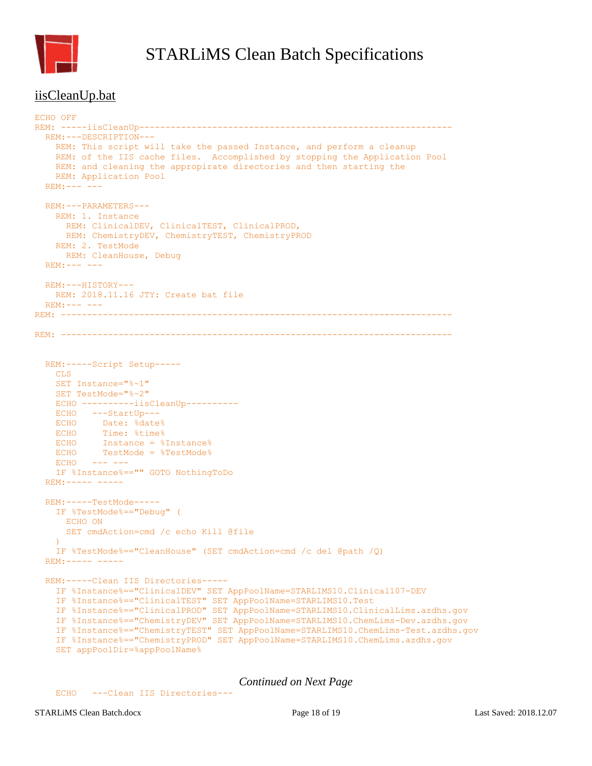

#### <span id="page-17-0"></span>iisCleanUp.bat

```
ECHO OFF
REM: -----iisCleanUp------------------------------------------------------------
   REM:---DESCRIPTION---
    REM: This script will take the passed Instance, and perform a cleanup 
    REM: of the IIS cache files. Accomplished by stopping the Application Pool
    REM: and cleaning the appropirate directories and then starting the 
    REM: Application Pool
  REM:--- ---
  REM:---PARAMETERS---
    REM: 1. Instance
      REM: ClinicalDEV, ClinicalTEST, ClinicalPROD,
      REM: ChemistryDEV, ChemistryTEST, ChemistryPROD
    REM: 2. TestMode
      REM: CleanHouse, Debug
 REM: --- --
  REM:---HISTORY---
    REM: 2018.11.16 JTY: Create bat file
 REM:--- ---REM: ---------------------------------------------------------------------------
REM: ---------------------------------------------------------------------------
  REM:-----Script Setup-----
   CLS.
    SET Instance="%~1"
    SET TestMode="%~2"
    ECHO ----------iisCleanUp----------
    ECHO ---StartUp---
 ECHO Date: %date%
 ECHO Time: %time%
   ECHO Instance = %Instance%
   ECHO TestMode = %TestMode%
   ECHO --- --- IF %Instance%=="" GOTO NothingToDo
   REM:----- -----
  REM:-----TestMode-----
    IF %TestMode%=="Debug" (
      ECHO ON
      SET cmdAction=cmd /c echo Kill @file
    )
    IF %TestMode%=="CleanHouse" (SET cmdAction=cmd /c del @path /Q)
   REM:----- -----
  REM:-----Clean IIS Directories-----
    IF %Instance%=="ClinicalDEV" SET AppPoolName=STARLIMS10.Clinical107-DEV
    IF %Instance%=="ClinicalTEST" SET AppPoolName=STARLIMS10.Test
     IF %Instance%=="ClinicalPROD" SET AppPoolName=STARLIMS10.ClinicalLims.azdhs.gov
     IF %Instance%=="ChemistryDEV" SET AppPoolName=STARLIMS10.ChemLims-Dev.azdhs.gov
     IF %Instance%=="ChemistryTEST" SET AppPoolName=STARLIMS10.ChemLims-Test.azdhs.gov
     IF %Instance%=="ChemistryPROD" SET AppPoolName=STARLIMS10.ChemLims.azdhs.gov
    SET appPoolDir=%appPoolName%
```
*Continued on Next Page*

ECHO ---Clean IIS Directories---